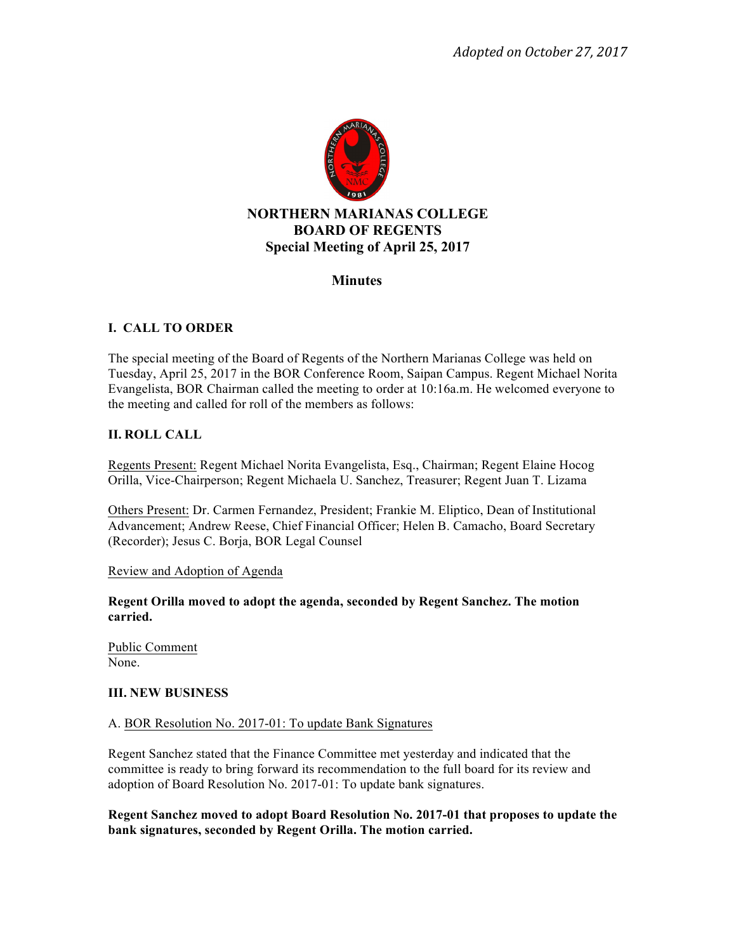

# **Minutes**

# **I. CALL TO ORDER**

The special meeting of the Board of Regents of the Northern Marianas College was held on Tuesday, April 25, 2017 in the BOR Conference Room, Saipan Campus. Regent Michael Norita Evangelista, BOR Chairman called the meeting to order at 10:16a.m. He welcomed everyone to the meeting and called for roll of the members as follows:

# **II. ROLL CALL**

Regents Present: Regent Michael Norita Evangelista, Esq., Chairman; Regent Elaine Hocog Orilla, Vice-Chairperson; Regent Michaela U. Sanchez, Treasurer; Regent Juan T. Lizama

Others Present: Dr. Carmen Fernandez, President; Frankie M. Eliptico, Dean of Institutional Advancement; Andrew Reese, Chief Financial Officer; Helen B. Camacho, Board Secretary (Recorder); Jesus C. Borja, BOR Legal Counsel

### Review and Adoption of Agenda

**Regent Orilla moved to adopt the agenda, seconded by Regent Sanchez. The motion carried.** 

Public Comment None.

### **III. NEW BUSINESS**

#### A. BOR Resolution No. 2017-01: To update Bank Signatures

Regent Sanchez stated that the Finance Committee met yesterday and indicated that the committee is ready to bring forward its recommendation to the full board for its review and adoption of Board Resolution No. 2017-01: To update bank signatures.

**Regent Sanchez moved to adopt Board Resolution No. 2017-01 that proposes to update the bank signatures, seconded by Regent Orilla. The motion carried.**